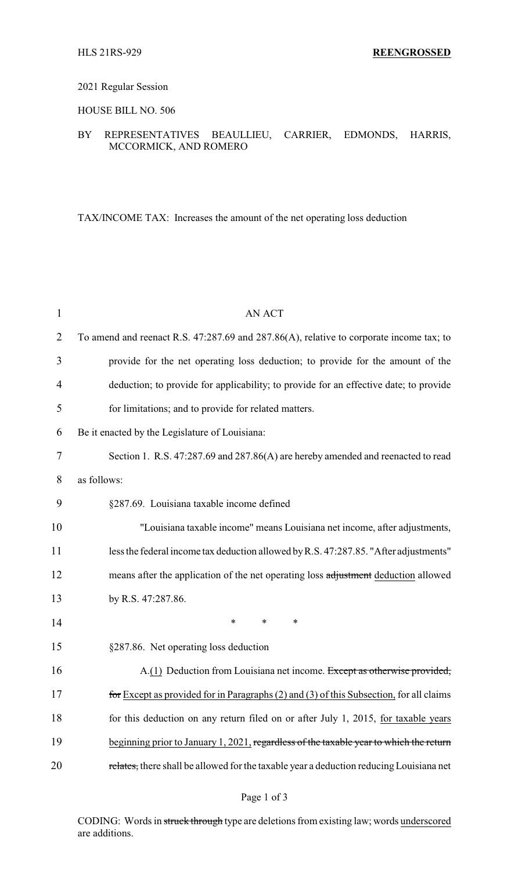# 2021 Regular Session

## HOUSE BILL NO. 506

# BY REPRESENTATIVES BEAULLIEU, CARRIER, EDMONDS, HARRIS, MCCORMICK, AND ROMERO

TAX/INCOME TAX: Increases the amount of the net operating loss deduction

| 1              | <b>AN ACT</b>                                                                                |
|----------------|----------------------------------------------------------------------------------------------|
| $\overline{2}$ | To amend and reenact R.S. $47:287.69$ and $287.86(A)$ , relative to corporate income tax; to |
| 3              | provide for the net operating loss deduction; to provide for the amount of the               |
| 4              | deduction; to provide for applicability; to provide for an effective date; to provide        |
| 5              | for limitations; and to provide for related matters.                                         |
| 6              | Be it enacted by the Legislature of Louisiana:                                               |
| 7              | Section 1. R.S. 47:287.69 and 287.86(A) are hereby amended and reenacted to read             |
| 8              | as follows:                                                                                  |
| 9              | §287.69. Louisiana taxable income defined                                                    |
| 10             | "Louisiana taxable income" means Louisiana net income, after adjustments,                    |
| 11             | less the federal income tax deduction allowed by R.S. 47:287.85. "After adjustments"         |
| 12             | means after the application of the net operating loss adjustment deduction allowed           |
| 13             | by R.S. 47:287.86.                                                                           |
| 14             | $\ast$<br>∗<br>∗                                                                             |
| 15             | §287.86. Net operating loss deduction                                                        |
| 16             | A.(1) Deduction from Louisiana net income. Except as otherwise provided,                     |
| 17             | for Except as provided for in Paragraphs $(2)$ and $(3)$ of this Subsection, for all claims  |
| 18             | for this deduction on any return filed on or after July 1, 2015, for taxable years           |
| 19             | beginning prior to January 1, 2021, regardless of the taxable year to which the return       |
| 20             | relates, there shall be allowed for the taxable year a deduction reducing Louisiana net      |

## Page 1 of 3

CODING: Words in struck through type are deletions from existing law; words underscored are additions.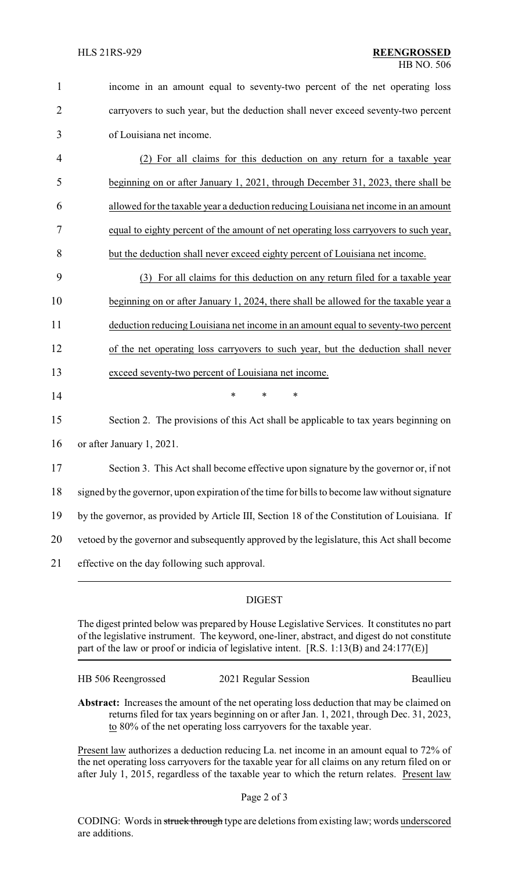| $\mathbf{1}$   | income in an amount equal to seventy-two percent of the net operating loss                    |
|----------------|-----------------------------------------------------------------------------------------------|
| $\overline{2}$ | carryovers to such year, but the deduction shall never exceed seventy-two percent             |
| 3              | of Louisiana net income.                                                                      |
| 4              | (2) For all claims for this deduction on any return for a taxable year                        |
| 5              | beginning on or after January 1, 2021, through December 31, 2023, there shall be              |
| 6              | allowed for the taxable year a deduction reducing Louisiana net income in an amount           |
| 7              | equal to eighty percent of the amount of net operating loss carryovers to such year,          |
| 8              | but the deduction shall never exceed eighty percent of Louisiana net income.                  |
| 9              | (3) For all claims for this deduction on any return filed for a taxable year                  |
| 10             | beginning on or after January 1, 2024, there shall be allowed for the taxable year a          |
| 11             | deduction reducing Louisiana net income in an amount equal to seventy-two percent             |
| 12             | of the net operating loss carryovers to such year, but the deduction shall never              |
| 13             | exceed seventy-two percent of Louisiana net income.                                           |
| 14             | $\ast$<br>*<br>$\ast$                                                                         |
| 15             | Section 2. The provisions of this Act shall be applicable to tax years beginning on           |
| 16             | or after January 1, 2021.                                                                     |
| 17             | Section 3. This Act shall become effective upon signature by the governor or, if not          |
| 18             | signed by the governor, upon expiration of the time for bills to become law without signature |
| 19             | by the governor, as provided by Article III, Section 18 of the Constitution of Louisiana. If  |
| 20             | vetoed by the governor and subsequently approved by the legislature, this Act shall become    |
| 21             | effective on the day following such approval.                                                 |

# DIGEST

The digest printed below was prepared by House Legislative Services. It constitutes no part of the legislative instrument. The keyword, one-liner, abstract, and digest do not constitute part of the law or proof or indicia of legislative intent. [R.S. 1:13(B) and 24:177(E)]

| HB 506 Reengrossed | 2021 Regular Session | Beaullieu |
|--------------------|----------------------|-----------|
|                    |                      |           |

**Abstract:** Increases the amount of the net operating loss deduction that may be claimed on returns filed for tax years beginning on or after Jan. 1, 2021, through Dec. 31, 2023, to 80% of the net operating loss carryovers for the taxable year.

Present law authorizes a deduction reducing La. net income in an amount equal to 72% of the net operating loss carryovers for the taxable year for all claims on any return filed on or after July 1, 2015, regardless of the taxable year to which the return relates. Present law

Page 2 of 3